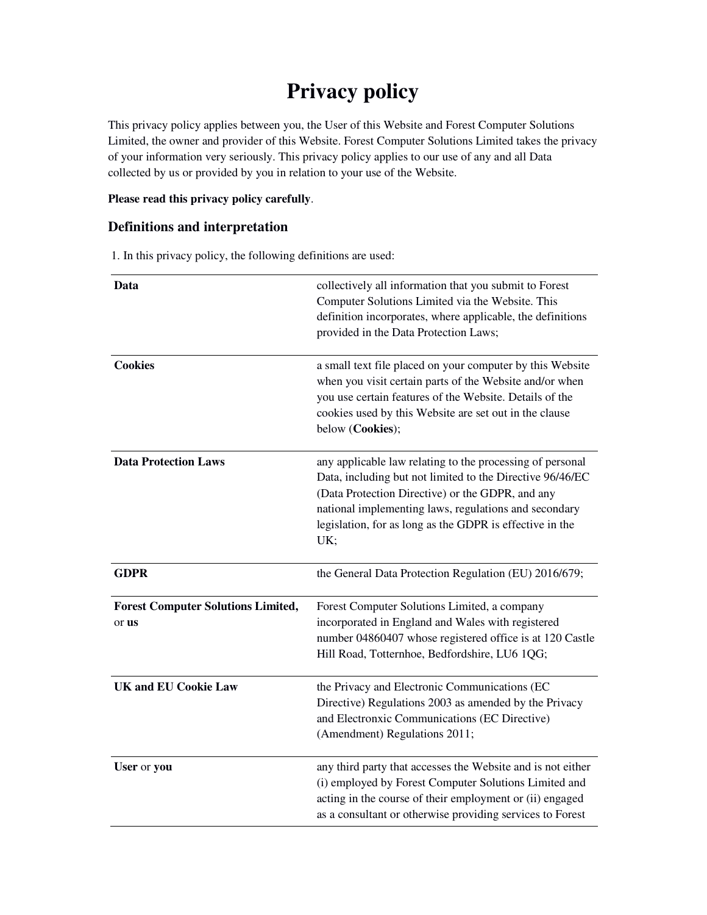# **Privacy policy**

This privacy policy applies between you, the User of this Website and Forest Computer Solutions Limited, the owner and provider of this Website. Forest Computer Solutions Limited takes the privacy of your information very seriously. This privacy policy applies to our use of any and all Data collected by us or provided by you in relation to your use of the Website.

## **Please read this privacy policy carefully**.

## **Definitions and interpretation**

1. In this privacy policy, the following definitions are used:

| Data                                               | collectively all information that you submit to Forest<br>Computer Solutions Limited via the Website. This<br>definition incorporates, where applicable, the definitions<br>provided in the Data Protection Laws;                                                                                      |
|----------------------------------------------------|--------------------------------------------------------------------------------------------------------------------------------------------------------------------------------------------------------------------------------------------------------------------------------------------------------|
| <b>Cookies</b>                                     | a small text file placed on your computer by this Website<br>when you visit certain parts of the Website and/or when<br>you use certain features of the Website. Details of the<br>cookies used by this Website are set out in the clause<br>below (Cookies);                                          |
| <b>Data Protection Laws</b>                        | any applicable law relating to the processing of personal<br>Data, including but not limited to the Directive 96/46/EC<br>(Data Protection Directive) or the GDPR, and any<br>national implementing laws, regulations and secondary<br>legislation, for as long as the GDPR is effective in the<br>UK; |
| <b>GDPR</b>                                        | the General Data Protection Regulation (EU) 2016/679;                                                                                                                                                                                                                                                  |
| <b>Forest Computer Solutions Limited,</b><br>or us | Forest Computer Solutions Limited, a company<br>incorporated in England and Wales with registered<br>number 04860407 whose registered office is at 120 Castle<br>Hill Road, Totternhoe, Bedfordshire, LU6 1QG;                                                                                         |
| <b>UK and EU Cookie Law</b>                        | the Privacy and Electronic Communications (EC<br>Directive) Regulations 2003 as amended by the Privacy<br>and Electronxic Communications (EC Directive)<br>(Amendment) Regulations 2011;                                                                                                               |
| User or you                                        | any third party that accesses the Website and is not either<br>(i) employed by Forest Computer Solutions Limited and<br>acting in the course of their employment or (ii) engaged<br>as a consultant or otherwise providing services to Forest                                                          |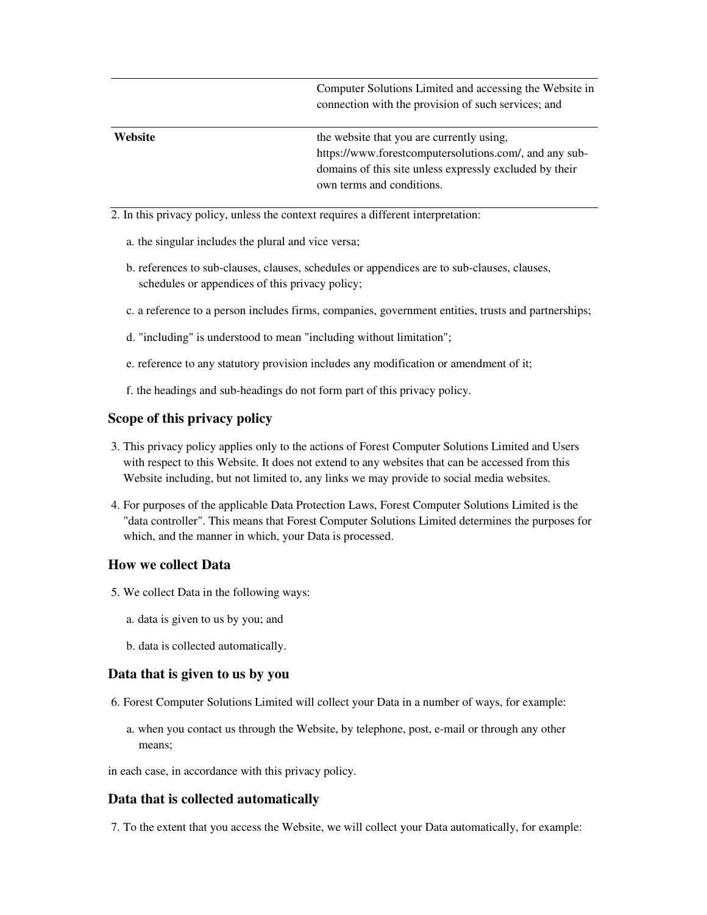Computer Solutions Limited and accessing the Website in connection with the provision of such services; and

| <b>Website</b> | the website that you are currently using.               |
|----------------|---------------------------------------------------------|
|                | https://www.forestcomputersolutions.com/, and any sub-  |
|                | domains of this site unless expressly excluded by their |
|                | own terms and conditions.                               |

- 2. In this privacy policy, unless the context requires a different interpretation:
	- a. the singular includes the plural and vice versa;
	- b. references to sub-clauses, clauses, schedules or appendices are to sub-clauses, clauses, schedules or appendices of this privacy policy;
	- c. a reference to a person includes firms, companies, government entities, trusts and partnerships;
	- d. "including" is understood to mean "including without limitation";
	- e. reference to any statutory provision includes any modification or amendment of it;
	- f. the headings and sub-headings do not form part of this privacy policy.

#### **Scope of this privacy policy**

- 3. This privacy policy applies only to the actions of Forest Computer Solutions Limited and Users with respect to this Website. It does not extend to any websites that can be accessed from this Website including, but not limited to, any links we may provide to social media websites.
- 4. For purposes of the applicable Data Protection Laws, Forest Computer Solutions Limited is the "data controller". This means that Forest Computer Solutions Limited determines the purposes for which, and the manner in which, your Data is processed.

#### **How we collect Data**

- 5. We collect Data in the following ways:
	- a. data is given to us by you; and
	- b. data is collected automatically.

#### **Data that is given to us by you**

- 6. Forest Computer Solutions Limited will collect your Data in a number of ways, for example:
	- a. when you contact us through the Website, by telephone, post, e-mail or through any other means;

in each case, in accordance with this privacy policy.

#### **Data that is collected automatically**

7. To the extent that you access the Website, we will collect your Data automatically, for example: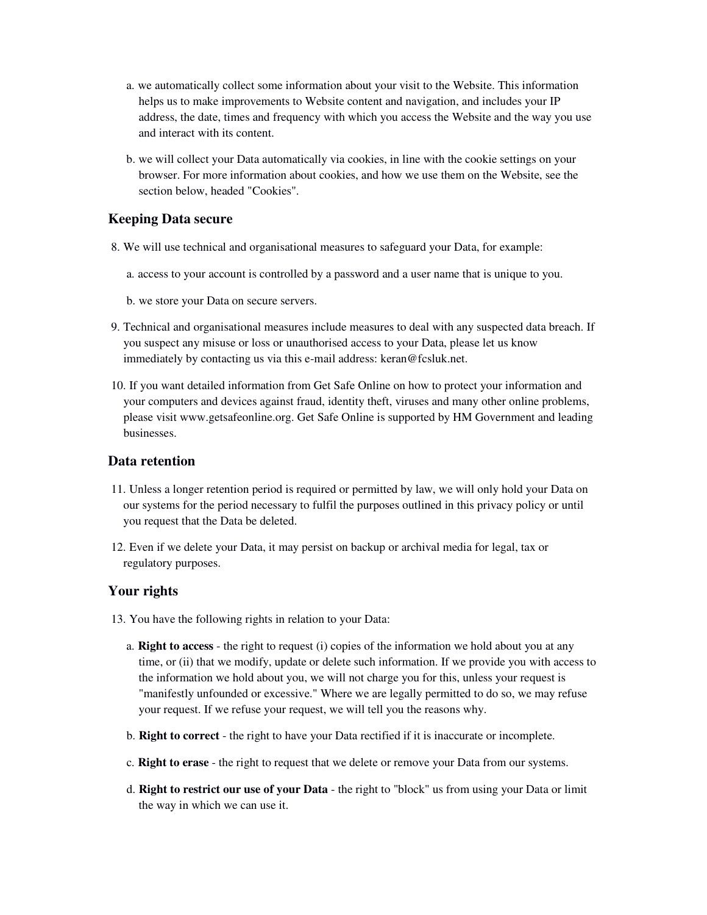- a. we automatically collect some information about your visit to the Website. This information helps us to make improvements to Website content and navigation, and includes your IP address, the date, times and frequency with which you access the Website and the way you use and interact with its content.
- b. we will collect your Data automatically via cookies, in line with the cookie settings on your browser. For more information about cookies, and how we use them on the Website, see the section below, headed "Cookies".

## **Keeping Data secure**

- 8. We will use technical and organisational measures to safeguard your Data, for example:
	- a. access to your account is controlled by a password and a user name that is unique to you.
	- b. we store your Data on secure servers.
- 9. Technical and organisational measures include measures to deal with any suspected data breach. If you suspect any misuse or loss or unauthorised access to your Data, please let us know immediately by contacting us via this e-mail address: keran@fcsluk.net.
- 10. If you want detailed information from Get Safe Online on how to protect your information and your computers and devices against fraud, identity theft, viruses and many other online problems, please visit www.getsafeonline.org. Get Safe Online is supported by HM Government and leading businesses.

## **Data retention**

- 11. Unless a longer retention period is required or permitted by law, we will only hold your Data on our systems for the period necessary to fulfil the purposes outlined in this privacy policy or until you request that the Data be deleted.
- 12. Even if we delete your Data, it may persist on backup or archival media for legal, tax or regulatory purposes.

## **Your rights**

- 13. You have the following rights in relation to your Data:
	- a. **Right to access** the right to request (i) copies of the information we hold about you at any time, or (ii) that we modify, update or delete such information. If we provide you with access to the information we hold about you, we will not charge you for this, unless your request is "manifestly unfounded or excessive." Where we are legally permitted to do so, we may refuse your request. If we refuse your request, we will tell you the reasons why.
	- b. **Right to correct** the right to have your Data rectified if it is inaccurate or incomplete.
	- c. **Right to erase** the right to request that we delete or remove your Data from our systems.
	- d. **Right to restrict our use of your Data** the right to "block" us from using your Data or limit the way in which we can use it.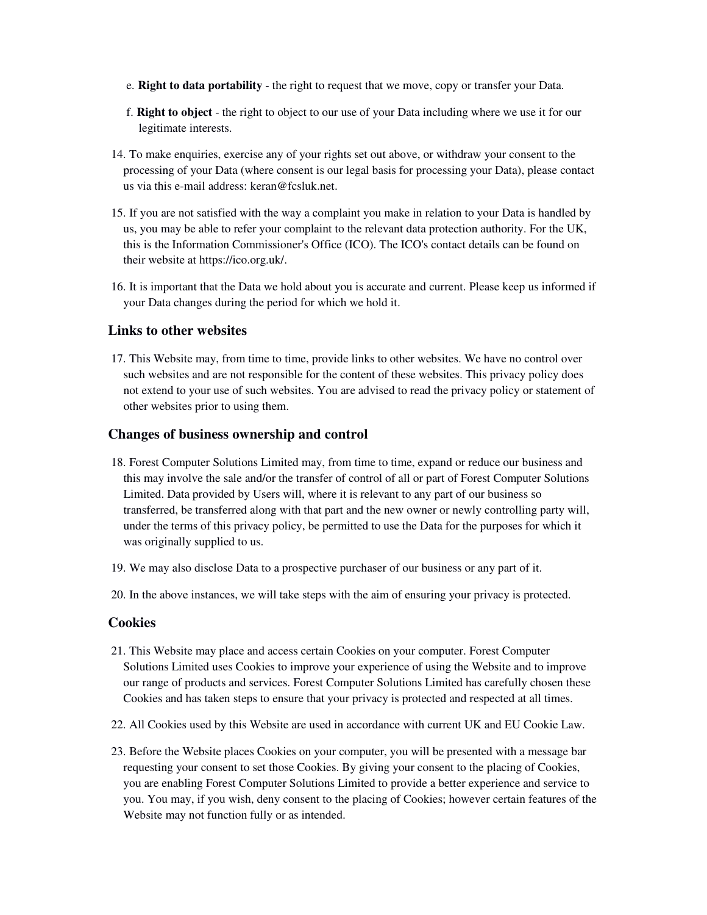- e. **Right to data portability** the right to request that we move, copy or transfer your Data.
- f. **Right to object** the right to object to our use of your Data including where we use it for our legitimate interests.
- 14. To make enquiries, exercise any of your rights set out above, or withdraw your consent to the processing of your Data (where consent is our legal basis for processing your Data), please contact us via this e-mail address: keran@fcsluk.net.
- 15. If you are not satisfied with the way a complaint you make in relation to your Data is handled by us, you may be able to refer your complaint to the relevant data protection authority. For the UK, this is the Information Commissioner's Office (ICO). The ICO's contact details can be found on their website at https://ico.org.uk/.
- 16. It is important that the Data we hold about you is accurate and current. Please keep us informed if your Data changes during the period for which we hold it.

## **Links to other websites**

 17. This Website may, from time to time, provide links to other websites. We have no control over such websites and are not responsible for the content of these websites. This privacy policy does not extend to your use of such websites. You are advised to read the privacy policy or statement of other websites prior to using them.

## **Changes of business ownership and control**

- 18. Forest Computer Solutions Limited may, from time to time, expand or reduce our business and this may involve the sale and/or the transfer of control of all or part of Forest Computer Solutions Limited. Data provided by Users will, where it is relevant to any part of our business so transferred, be transferred along with that part and the new owner or newly controlling party will, under the terms of this privacy policy, be permitted to use the Data for the purposes for which it was originally supplied to us.
- 19. We may also disclose Data to a prospective purchaser of our business or any part of it.
- 20. In the above instances, we will take steps with the aim of ensuring your privacy is protected.

#### **Cookies**

- 21. This Website may place and access certain Cookies on your computer. Forest Computer Solutions Limited uses Cookies to improve your experience of using the Website and to improve our range of products and services. Forest Computer Solutions Limited has carefully chosen these Cookies and has taken steps to ensure that your privacy is protected and respected at all times.
- 22. All Cookies used by this Website are used in accordance with current UK and EU Cookie Law.
- 23. Before the Website places Cookies on your computer, you will be presented with a message bar requesting your consent to set those Cookies. By giving your consent to the placing of Cookies, you are enabling Forest Computer Solutions Limited to provide a better experience and service to you. You may, if you wish, deny consent to the placing of Cookies; however certain features of the Website may not function fully or as intended.